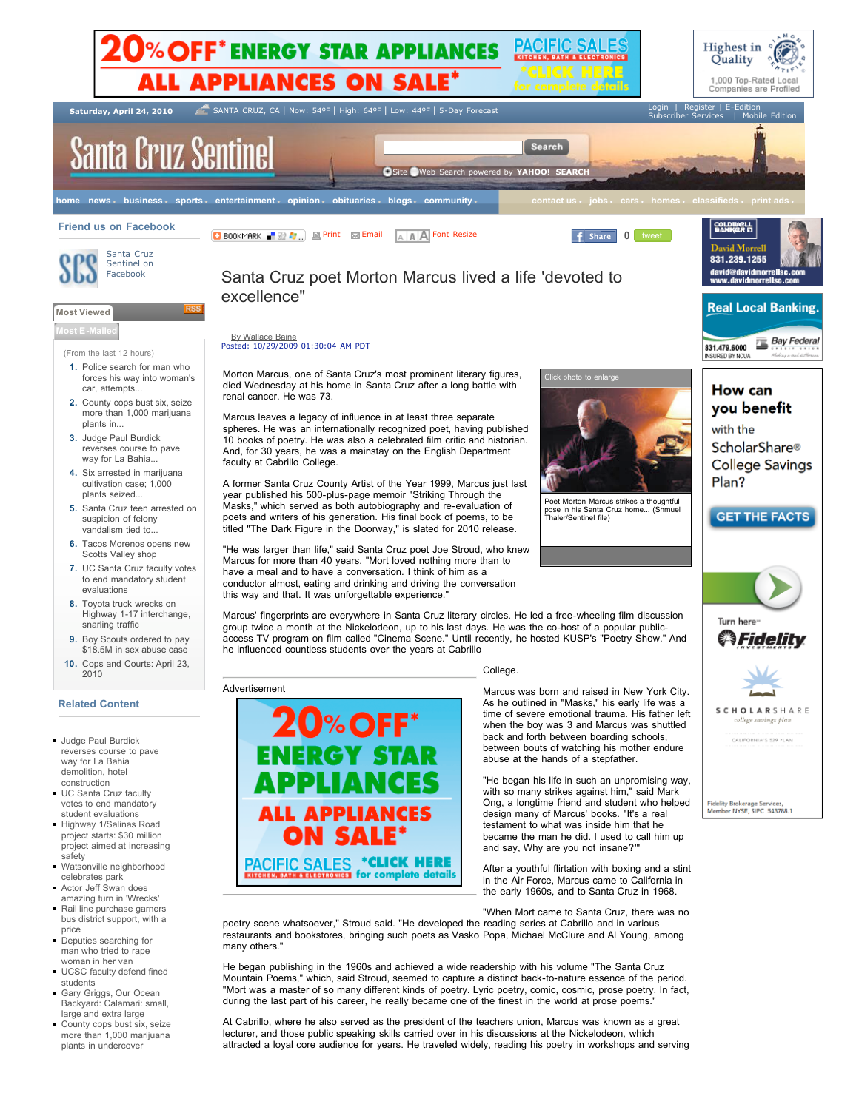